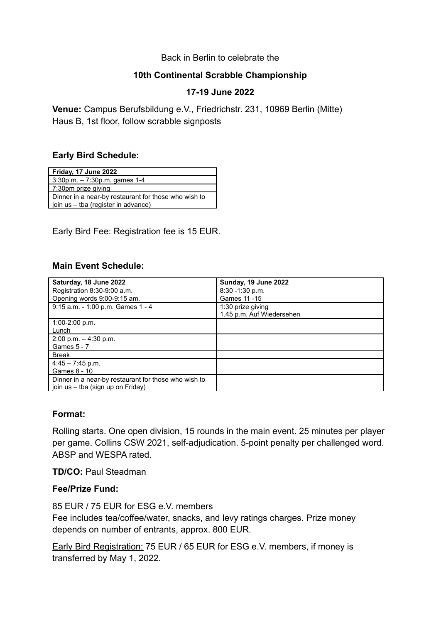#### Back in Berlin to celebrate the

## **10th Continental Scrabble Championship**

## **17-19 June 2022**

**Venue:** Campus Berufsbildung e.V., Friedrichstr. 231, 10969 Berlin (Mitte) Haus B, 1st floor, follow scrabble signposts

## **Early Bird Schedule:**

| Friday, 17 June 2022                                 |
|------------------------------------------------------|
| $3:30p.m. - 7:30p.m.$ games 1-4                      |
| 7:30pm prize giving                                  |
| Dinner in a near-by restaurant for those who wish to |
| join us - tba (register in advance)                  |

## Early Bird Fee: Registration fee is 15 EUR.

## **Main Event Schedule:**

| Saturday, 18 June 2022                               | Sunday, 19 June 2022      |
|------------------------------------------------------|---------------------------|
| Registration 8:30-9:00 a.m.                          | $8:30 - 1:30$ p.m.        |
| Opening words 9:00-9:15 am.                          | Games 11 - 15             |
| 9:15 a.m. - 1:00 p.m. Games 1 - 4                    | 1:30 prize giving         |
|                                                      | 1.45 p.m. Auf Wiedersehen |
| $1:00-2:00$ p.m.                                     |                           |
| Lunch                                                |                           |
| $2:00$ p.m. $-4:30$ p.m.                             |                           |
| Games 5 - 7                                          |                           |
| <b>Break</b>                                         |                           |
| $4:45 - 7:45$ p.m.                                   |                           |
| Games 8 - 10                                         |                           |
| Dinner in a near-by restaurant for those who wish to |                           |
| join us - tba (sign up on Friday)                    |                           |

### **Format:**

Rolling starts. One open division, 15 rounds in the main event. 25 minutes per player per game. Collins CSW 2021, self-adjudication. 5-point penalty per challenged word. ABSP and WESPA rated.

**TD/CO:** Paul Steadman

### **Fee/Prize Fund:**

85 EUR / 75 EUR for ESG e.V. members

Fee includes tea/coffee/water, snacks, and levy ratings charges. Prize money depends on number of entrants, approx. 800 EUR.

Early Bird Registration: 75 EUR / 65 EUR for ESG e.V. members, if money is transferred by May 1, 2022.